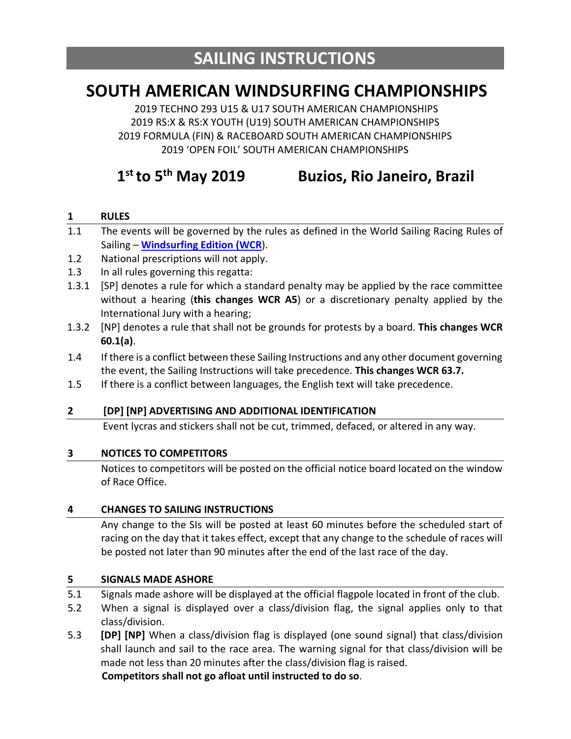# **SOUTH AMERICAN WINDSURFING CHAMPIONSHIPS**

2019 TECHNO 293 U15 & U17 SOUTH AMERICAN CHAMPIONSHIPS 2019 RS:X & RS:X YOUTH (U19) SOUTH AMERICAN CHAMPIONSHIPS 2019 FORMULA (FIN) & RACEBOARD SOUTH AMERICAN CHAMPIONSHIPS 2019 'OPEN FOIL' SOUTH AMERICAN CHAMPIONSHIPS

# **1st to 5th May 2019 Buzios, Rio Janeiro, Brazil**

#### **1 RULES**

- 1.1 The events will be governed by the rules as defined in the World Sailing Racing Rules of Sailing – **Windsurfing Edition (WCR**).
- 1.2 National prescriptions will not apply.
- 1.3 In all rules governing this regatta:
- 1.3.1 [SP] denotes a rule for which a standard penalty may be applied by the race committee without a hearing (**this changes WCR A5**) or a discretionary penalty applied by the International Jury with a hearing;
- 1.3.2 [NP] denotes a rule that shall not be grounds for protests by a board. **This changes WCR 60.1(a)**.
- 1.4 If there is a conflict between these Sailing Instructions and any other document governing the event, the Sailing Instructions will take precedence. **This changes WCR 63.7.**
- 1.5 If there is a conflict between languages, the English text will take precedence.

#### **2 [DP] [NP] ADVERTISING AND ADDITIONAL IDENTIFICATION**

Event lycras and stickers shall not be cut, trimmed, defaced, or altered in any way.

#### **3 NOTICES TO COMPETITORS**

Notices to competitors will be posted on the official notice board located on the window of Race Office.

#### **4 CHANGES TO SAILING INSTRUCTIONS**

Any change to the SIs will be posted at least 60 minutes before the scheduled start of racing on the day that it takes effect, except that any change to the schedule of races will be posted not later than 90 minutes after the end of the last race of the day.

#### **5 SIGNALS MADE ASHORE**

- 5.1 Signals made ashore will be displayed at the official flagpole located in front of the club.
- 5.2 When a signal is displayed over a class/division flag, the signal applies only to that class/division.
- 5.3 **[DP] [NP]** When a class/division flag is displayed (one sound signal) that class/division shall launch and sail to the race area. The warning signal for that class/division will be made not less than 20 minutes after the class/division flag is raised.

**Competitors shall not go afloat until instructed to do so**.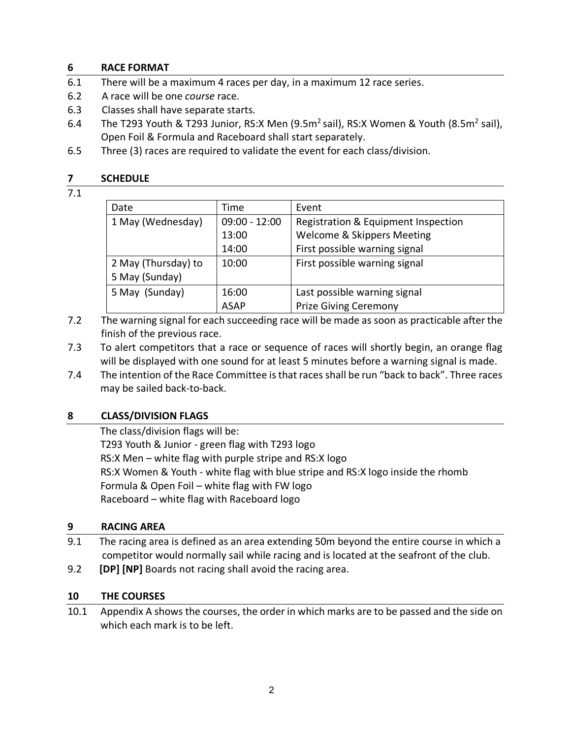## **6 RACE FORMAT**

- 6.1 There will be a maximum 4 races per day, in a maximum 12 race series.
- 6.2 A race will be one *course* race.
- 6.3 Classes shall have separate starts.
- 6.4 The T293 Youth & T293 Junior, RS:X Men (9.5m<sup>2</sup> sail), RS:X Women & Youth (8.5m<sup>2</sup> sail), Open Foil & Formula and Raceboard shall start separately.
- 6.5 Three (3) races are required to validate the event for each class/division.

#### **7 SCHEDULE**

### 7.1

| Date                | Time            | Event                               |  |
|---------------------|-----------------|-------------------------------------|--|
| 1 May (Wednesday)   | $09:00 - 12:00$ | Registration & Equipment Inspection |  |
|                     | 13:00           | Welcome & Skippers Meeting          |  |
|                     | 14:00           | First possible warning signal       |  |
| 2 May (Thursday) to | 10:00           | First possible warning signal       |  |
| 5 May (Sunday)      |                 |                                     |  |
| 5 May (Sunday)      | 16:00           | Last possible warning signal        |  |
|                     | <b>ASAP</b>     | <b>Prize Giving Ceremony</b>        |  |

- 7.2 The warning signal for each succeeding race will be made as soon as practicable after the finish of the previous race.
- 7.3 To alert competitors that a race or sequence of races will shortly begin, an orange flag will be displayed with one sound for at least 5 minutes before a warning signal is made.
- 7.4 The intention of the Race Committee is that races shall be run "back to back". Three races may be sailed back-to-back.

## **8 CLASS/DIVISION FLAGS**

 The class/division flags will be: T293 Youth & Junior - green flag with T293 logo RS:X Men – white flag with purple stripe and RS:X logo RS:X Women & Youth - white flag with blue stripe and RS:X logo inside the rhomb Formula & Open Foil – white flag with FW logo Raceboard – white flag with Raceboard logo

## **9 RACING AREA**

- 9.1 The racing area is defined as an area extending 50m beyond the entire course in which a competitor would normally sail while racing and is located at the seafront of the club.
- 9.2 **[DP] [NP]** Boards not racing shall avoid the racing area.

#### **10 THE COURSES**

10.1 Appendix A shows the courses, the order in which marks are to be passed and the side on which each mark is to be left.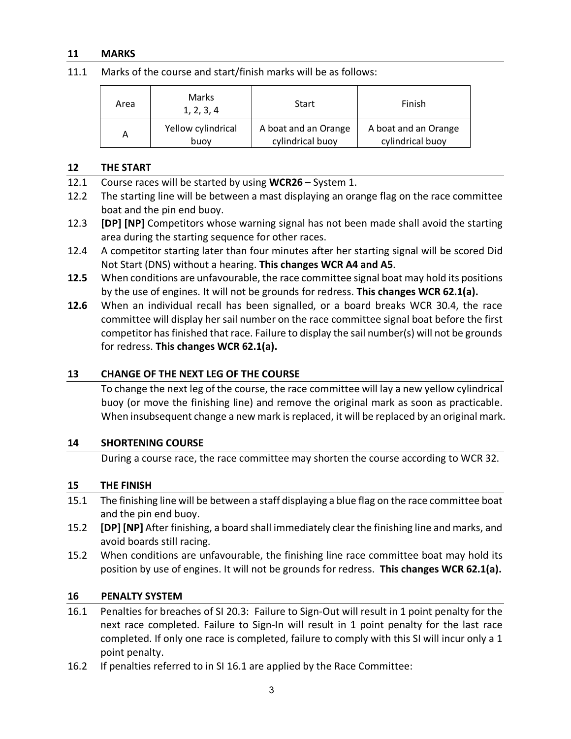#### **11 MARKS**

11.1 Marks of the course and start/finish marks will be as follows:

| Area | Marks<br>1, 2, 3, 4 | Start                | Finish               |
|------|---------------------|----------------------|----------------------|
| Α    | Yellow cylindrical  | A boat and an Orange | A boat and an Orange |
|      | buov                | cylindrical buoy     | cylindrical buoy     |

#### **12 THE START**

- 12.1 Course races will be started by using **WCR26** System 1.
- 12.2 The starting line will be between a mast displaying an orange flag on the race committee boat and the pin end buoy.
- 12.3 **[DP] [NP]** Competitors whose warning signal has not been made shall avoid the starting area during the starting sequence for other races.
- 12.4 A competitor starting later than four minutes after her starting signal will be scored Did Not Start (DNS) without a hearing. **This changes WCR A4 and A5**.
- **12.5** When conditions are unfavourable, the race committee signal boat may hold its positions by the use of engines. It will not be grounds for redress. **This changes WCR 62.1(a).**
- **12.6** When an individual recall has been signalled, or a board breaks WCR 30.4, the race committee will display her sail number on the race committee signal boat before the first competitor has finished that race. Failure to display the sail number(s) will not be grounds for redress. **This changes WCR 62.1(a).**

#### **13 CHANGE OF THE NEXT LEG OF THE COURSE**

To change the next leg of the course, the race committee will lay a new yellow cylindrical buoy (or move the finishing line) and remove the original mark as soon as practicable. When insubsequent change a new mark is replaced, it will be replaced by an original mark.

#### **14 SHORTENING COURSE**

During a course race, the race committee may shorten the course according to WCR 32.

#### **15 THE FINISH**

- 15.1 The finishing line will be between a staff displaying a blue flag on the race committee boat and the pin end buoy.
- 15.2 **[DP] [NP]** After finishing, a board shall immediately clear the finishing line and marks, and avoid boards still racing.
- 15.2 When conditions are unfavourable, the finishing line race committee boat may hold its position by use of engines. It will not be grounds for redress. **This changes WCR 62.1(a).**

#### **16 PENALTY SYSTEM**

- 16.1 Penalties for breaches of SI 20.3: Failure to Sign-Out will result in 1 point penalty for the next race completed. Failure to Sign-In will result in 1 point penalty for the last race completed. If only one race is completed, failure to comply with this SI will incur only a 1 point penalty.
- 16.2 If penalties referred to in SI 16.1 are applied by the Race Committee: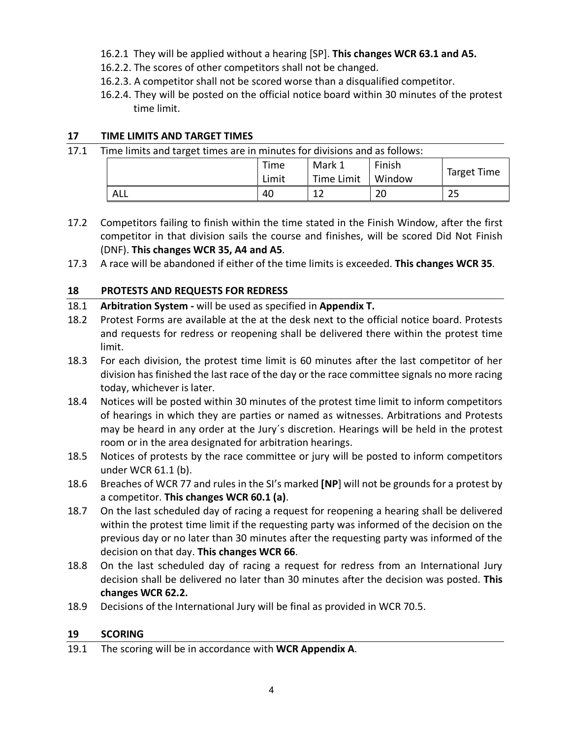- 16.2.1 They will be applied without a hearing [SP]. **This changes WCR 63.1 and A5.**
- 16.2.2. The scores of other competitors shall not be changed.
- 16.2.3. A competitor shall not be scored worse than a disqualified competitor.
- 16.2.4. They will be posted on the official notice board within 30 minutes of the protest time limit.

## **17 TIME LIMITS AND TARGET TIMES**

| 17.1 | Time limits and target times are in minutes for divisions and as follows: |       |            |        |             |  |  |
|------|---------------------------------------------------------------------------|-------|------------|--------|-------------|--|--|
|      |                                                                           | Time  | Mark 1     | Finish |             |  |  |
|      |                                                                           | Limit | Time Limit | Window | Target Time |  |  |
|      | ALL                                                                       | 40    | 12         | 20     | 25          |  |  |

- 17.2 Competitors failing to finish within the time stated in the Finish Window, after the first competitor in that division sails the course and finishes, will be scored Did Not Finish (DNF). **This changes WCR 35, A4 and A5**.
- 17.3 A race will be abandoned if either of the time limits is exceeded. **This changes WCR 35**.

# **18 PROTESTS AND REQUESTS FOR REDRESS**

- 18.1 **Arbitration System -** will be used as specified in **Appendix T.**
- 18.2 Protest Forms are available at the at the desk next to the official notice board. Protests and requests for redress or reopening shall be delivered there within the protest time limit.
- 18.3 For each division, the protest time limit is 60 minutes after the last competitor of her division has finished the last race of the day or the race committee signals no more racing today, whichever is later.
- 18.4 Notices will be posted within 30 minutes of the protest time limit to inform competitors of hearings in which they are parties or named as witnesses. Arbitrations and Protests may be heard in any order at the Jury´s discretion. Hearings will be held in the protest room or in the area designated for arbitration hearings.
- 18.5 Notices of protests by the race committee or jury will be posted to inform competitors under WCR 61.1 (b).
- 18.6 Breaches of WCR 77 and rules in the SI's marked **[NP**] will not be grounds for a protest by a competitor. **This changes WCR 60.1 (a)**.
- 18.7 On the last scheduled day of racing a request for reopening a hearing shall be delivered within the protest time limit if the requesting party was informed of the decision on the previous day or no later than 30 minutes after the requesting party was informed of the decision on that day. **This changes WCR 66**.
- 18.8 On the last scheduled day of racing a request for redress from an International Jury decision shall be delivered no later than 30 minutes after the decision was posted. **This changes WCR 62.2.**
- 18.9 Decisions of the International Jury will be final as provided in WCR 70.5.

## **19 SCORING**

19.1 The scoring will be in accordance with **WCR Appendix A**.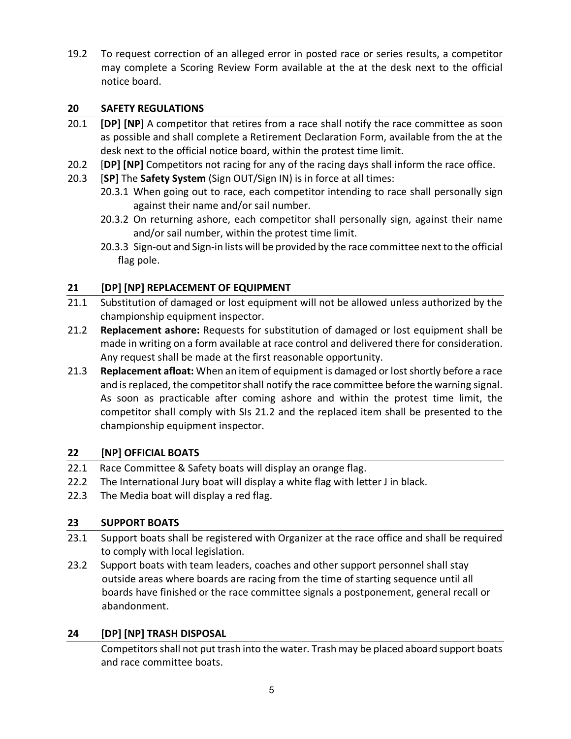19.2 To request correction of an alleged error in posted race or series results, a competitor may complete a Scoring Review Form available at the at the desk next to the official notice board.

# **20 SAFETY REGULATIONS**

- 20.1 **[DP] [NP**] A competitor that retires from a race shall notify the race committee as soon as possible and shall complete a Retirement Declaration Form, available from the at the desk next to the official notice board, within the protest time limit.
- 20.2 [**DP] [NP]** Competitors not racing for any of the racing days shall inform the race office.
- 20.3 [**SP]** The **Safety System** (Sign OUT/Sign IN) is in force at all times:
	- 20.3.1 When going out to race, each competitor intending to race shall personally sign against their name and/or sail number.
	- 20.3.2 On returning ashore, each competitor shall personally sign, against their name and/or sail number, within the protest time limit.
	- 20.3.3 Sign-out and Sign-in lists will be provided by the race committee next to the official flag pole.

# **21 [DP] [NP] REPLACEMENT OF EQUIPMENT**

- 21.1 Substitution of damaged or lost equipment will not be allowed unless authorized by the championship equipment inspector.
- 21.2 **Replacement ashore:** Requests for substitution of damaged or lost equipment shall be made in writing on a form available at race control and delivered there for consideration. Any request shall be made at the first reasonable opportunity.
- 21.3 **Replacement afloat:** When an item of equipment is damaged or lost shortly before a race and is replaced, the competitor shall notify the race committee before the warning signal. As soon as practicable after coming ashore and within the protest time limit, the competitor shall comply with SIs 21.2 and the replaced item shall be presented to the championship equipment inspector.

## **22 [NP] OFFICIAL BOATS**

- 22.1 Race Committee & Safety boats will display an orange flag.
- 22.2 The International Jury boat will display a white flag with letter J in black.
- 22.3 The Media boat will display a red flag.

# **23 SUPPORT BOATS**

- 23.1 Support boats shall be registered with Organizer at the race office and shall be required to comply with local legislation.
- 23.2 Support boats with team leaders, coaches and other support personnel shall stay outside areas where boards are racing from the time of starting sequence until all boards have finished or the race committee signals a postponement, general recall or abandonment.

# **24 [DP] [NP] TRASH DISPOSAL**

Competitors shall not put trash into the water. Trash may be placed aboard support boats and race committee boats.